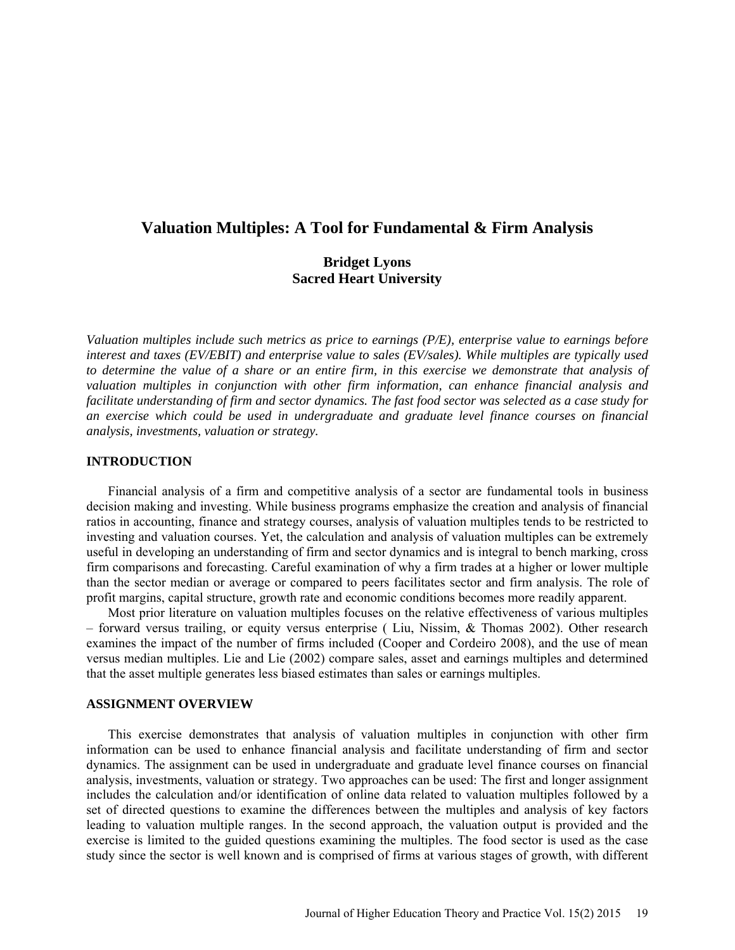# **Valuation Multiples: A Tool for Fundamental & Firm Analysis**

# **Bridget Lyons Sacred Heart University**

*Valuation multiples include such metrics as price to earnings (P/E), enterprise value to earnings before interest and taxes (EV/EBIT) and enterprise value to sales (EV/sales). While multiples are typically used to determine the value of a share or an entire firm, in this exercise we demonstrate that analysis of valuation multiples in conjunction with other firm information, can enhance financial analysis and facilitate understanding of firm and sector dynamics. The fast food sector was selected as a case study for an exercise which could be used in undergraduate and graduate level finance courses on financial analysis, investments, valuation or strategy.*

#### **INTRODUCTION**

Financial analysis of a firm and competitive analysis of a sector are fundamental tools in business decision making and investing. While business programs emphasize the creation and analysis of financial ratios in accounting, finance and strategy courses, analysis of valuation multiples tends to be restricted to investing and valuation courses. Yet, the calculation and analysis of valuation multiples can be extremely useful in developing an understanding of firm and sector dynamics and is integral to bench marking, cross firm comparisons and forecasting. Careful examination of why a firm trades at a higher or lower multiple than the sector median or average or compared to peers facilitates sector and firm analysis. The role of profit margins, capital structure, growth rate and economic conditions becomes more readily apparent.

Most prior literature on valuation multiples focuses on the relative effectiveness of various multiples – forward versus trailing, or equity versus enterprise ( Liu, Nissim, & Thomas 2002). Other research examines the impact of the number of firms included (Cooper and Cordeiro 2008), and the use of mean versus median multiples. Lie and Lie (2002) compare sales, asset and earnings multiples and determined that the asset multiple generates less biased estimates than sales or earnings multiples.

#### **ASSIGNMENT OVERVIEW**

This exercise demonstrates that analysis of valuation multiples in conjunction with other firm information can be used to enhance financial analysis and facilitate understanding of firm and sector dynamics. The assignment can be used in undergraduate and graduate level finance courses on financial analysis, investments, valuation or strategy. Two approaches can be used: The first and longer assignment includes the calculation and/or identification of online data related to valuation multiples followed by a set of directed questions to examine the differences between the multiples and analysis of key factors leading to valuation multiple ranges. In the second approach, the valuation output is provided and the exercise is limited to the guided questions examining the multiples. The food sector is used as the case study since the sector is well known and is comprised of firms at various stages of growth, with different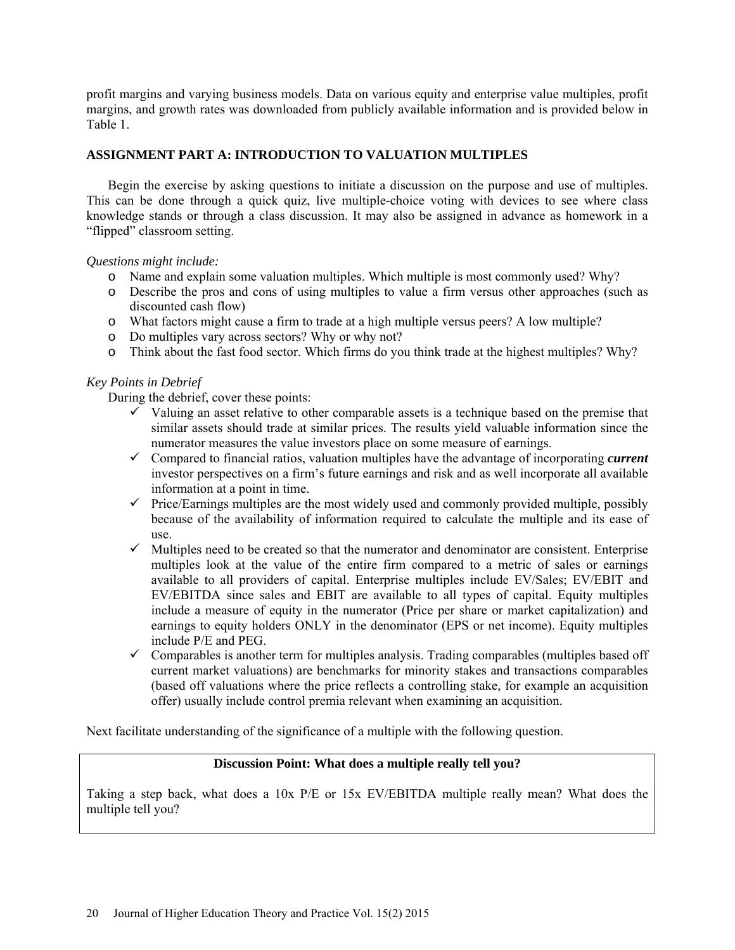profit margins and varying business models. Data on various equity and enterprise value multiples, profit margins, and growth rates was downloaded from publicly available information and is provided below in Table 1.

# **ASSIGNMENT PART A: INTRODUCTION TO VALUATION MULTIPLES**

Begin the exercise by asking questions to initiate a discussion on the purpose and use of multiples. This can be done through a quick quiz, live multiple-choice voting with devices to see where class knowledge stands or through a class discussion. It may also be assigned in advance as homework in a "flipped" classroom setting.

# *Questions might include:*

- o Name and explain some valuation multiples. Which multiple is most commonly used? Why?
- o Describe the pros and cons of using multiples to value a firm versus other approaches (such as discounted cash flow)
- o What factors might cause a firm to trade at a high multiple versus peers? A low multiple?
- o Do multiples vary across sectors? Why or why not?
- o Think about the fast food sector. Which firms do you think trade at the highest multiples? Why?

# *Key Points in Debrief*

During the debrief, cover these points:

- $\checkmark$  Valuing an asset relative to other comparable assets is a technique based on the premise that similar assets should trade at similar prices. The results yield valuable information since the numerator measures the value investors place on some measure of earnings.
- $\checkmark$  Compared to financial ratios, valuation multiples have the advantage of incorporating *current* investor perspectives on a firm's future earnings and risk and as well incorporate all available information at a point in time.
- $\checkmark$  Price/Earnings multiples are the most widely used and commonly provided multiple, possibly because of the availability of information required to calculate the multiple and its ease of use.
- $\checkmark$  Multiples need to be created so that the numerator and denominator are consistent. Enterprise multiples look at the value of the entire firm compared to a metric of sales or earnings available to all providers of capital. Enterprise multiples include EV/Sales; EV/EBIT and EV/EBITDA since sales and EBIT are available to all types of capital. Equity multiples include a measure of equity in the numerator (Price per share or market capitalization) and earnings to equity holders ONLY in the denominator (EPS or net income). Equity multiples include P/E and PEG.
- $\checkmark$  Comparables is another term for multiples analysis. Trading comparables (multiples based off current market valuations) are benchmarks for minority stakes and transactions comparables (based off valuations where the price reflects a controlling stake, for example an acquisition offer) usually include control premia relevant when examining an acquisition.

Next facilitate understanding of the significance of a multiple with the following question.

### **Discussion Point: What does a multiple really tell you?**

Taking a step back, what does a 10x P/E or 15x EV/EBITDA multiple really mean? What does the multiple tell you?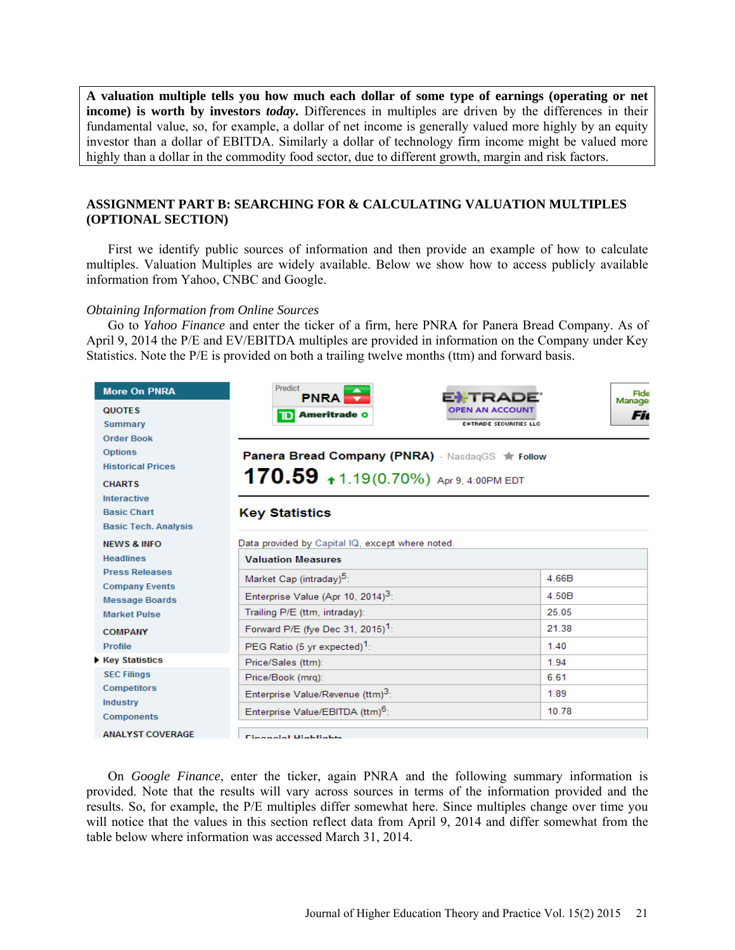**A valuation multiple tells you how much each dollar of some type of earnings (operating or net income) is worth by investors** *today***.** Differences in multiples are driven by the differences in their fundamental value, so, for example, a dollar of net income is generally valued more highly by an equity investor than a dollar of EBITDA. Similarly a dollar of technology firm income might be valued more highly than a dollar in the commodity food sector, due to different growth, margin and risk factors.

# **ASSIGNMENT PART B: SEARCHING FOR & CALCULATING VALUATION MULTIPLES (OPTIONAL SECTION)**

First we identify public sources of information and then provide an example of how to calculate multiples. Valuation Multiples are widely available. Below we show how to access publicly available information from Yahoo, CNBC and Google.

#### *Obtaining Information from Online Sources*

Go to *Yahoo Finance* and enter the ticker of a firm, here PNRA for Panera Bread Company. As of April 9, 2014 the P/E and EV/EBITDA multiples are provided in information on the Company under Key Statistics. Note the P/E is provided on both a trailing twelve months (ttm) and forward basis.

| <b>More On PNRA</b>                            | Predict<br><b>PNRA</b>                           | Fide<br>EXTRADE<br>Manage     |
|------------------------------------------------|--------------------------------------------------|-------------------------------|
| <b>QUOTES</b>                                  | <b>Ameritrade O</b><br>םד                        | <b>OPEN AN ACCOUNT</b><br>Fic |
| <b>Summary</b>                                 |                                                  | <b>E*TRADE SECURITIES LLC</b> |
| <b>Order Book</b>                              |                                                  |                               |
| <b>Options</b>                                 | Panera Bread Company (PNRA) - NasdaqGS * Follow  |                               |
| <b>Historical Prices</b>                       |                                                  |                               |
| <b>CHARTS</b>                                  | 170.59 $\text{*}$ 1.19 (0.70%) Apr 9, 4:00PM EDT |                               |
| <b>Interactive</b>                             |                                                  |                               |
| <b>Basic Chart</b>                             | <b>Key Statistics</b>                            |                               |
| <b>Basic Tech. Analysis</b>                    |                                                  |                               |
| <b>NEWS &amp; INFO</b>                         | Data provided by Capital IQ, except where noted. |                               |
| <b>Headlines</b>                               | <b>Valuation Measures</b>                        |                               |
| <b>Press Releases</b>                          | Market Cap (intraday) <sup>5</sup> :             | 4.66B                         |
| <b>Company Events</b><br><b>Message Boards</b> | Enterprise Value (Apr 10, 2014) <sup>3</sup> :   | 4.50B                         |
| <b>Market Pulse</b>                            | Trailing P/E (ttm, intraday):                    | 25.05                         |
| <b>COMPANY</b>                                 | Forward P/E (fye Dec 31, 2015) <sup>1</sup> :    | 21.38                         |
| <b>Profile</b>                                 | PEG Ratio (5 yr expected) <sup>1</sup> :         | 1.40                          |
| <b>Key Statistics</b>                          | Price/Sales (ttm):                               | 1.94                          |
| <b>SEC Filings</b>                             | Price/Book (mrg):                                | 6.61                          |
| <b>Competitors</b>                             | Enterprise Value/Revenue (ttm) <sup>3</sup> :    | 1.89                          |
| <b>Industry</b><br><b>Components</b>           | Enterprise Value/EBITDA (ttm) <sup>6</sup> :     | 10.78                         |
| <b>ANALYST COVERAGE</b>                        | <b>Cinemated Utabiliable</b>                     |                               |

On *Google Finance*, enter the ticker, again PNRA and the following summary information is provided. Note that the results will vary across sources in terms of the information provided and the results. So, for example, the P/E multiples differ somewhat here. Since multiples change over time you will notice that the values in this section reflect data from April 9, 2014 and differ somewhat from the table below where information was accessed March 31, 2014.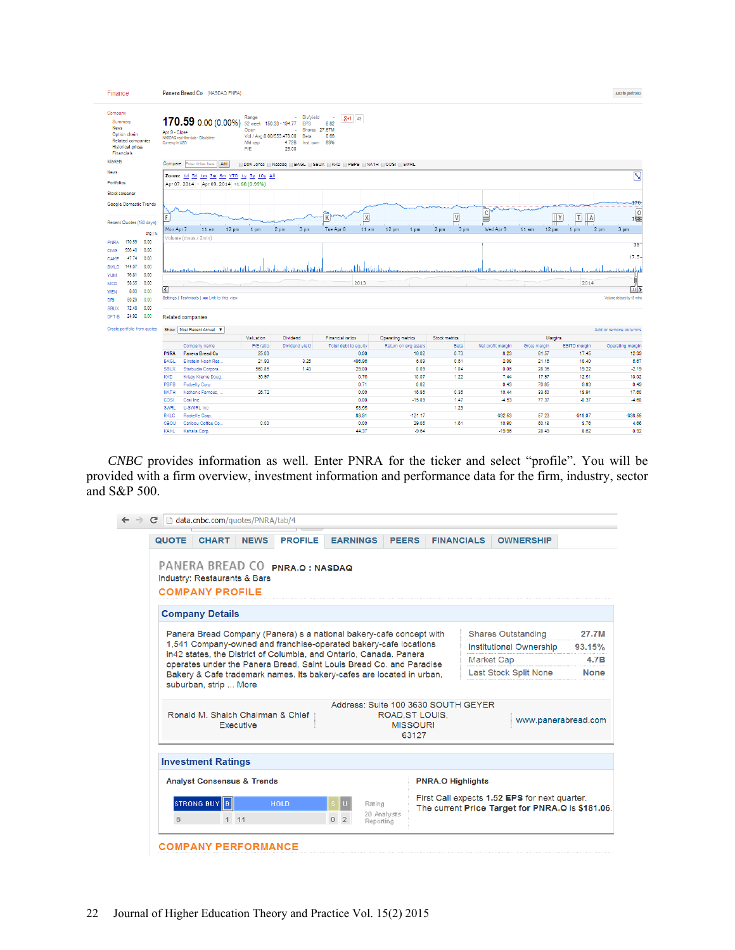| Finance                                                                                                          | Panera Bread Co (NASDAQ:PNRA)                                                                 |                  |                                                                                |                                                                                      |                                                                     |                      |                 |               |                   |              |                                     | Add to portfolio           |
|------------------------------------------------------------------------------------------------------------------|-----------------------------------------------------------------------------------------------|------------------|--------------------------------------------------------------------------------|--------------------------------------------------------------------------------------|---------------------------------------------------------------------|----------------------|-----------------|---------------|-------------------|--------------|-------------------------------------|----------------------------|
| Company<br>Summary<br><b>News</b><br>Option chain<br>Related companies<br><b>Historical prices</b><br>Financials | 170.59 0.00 (0.00%)<br>Apr 9 - Close<br>NASDAQ real-time data - Disclaimer<br>Currency In USD |                  | Range<br>52 week<br>Open<br>Vol / Avg.0.00/553,478.00<br>Mkt cap<br><b>P/E</b> | Div/yield<br>$\sim$<br>150.33 - 194.77<br>EPS<br>Bets<br>4.72B<br>Inst. own<br>25.00 | $8 + 1$ 43<br>6.82<br>Shares 27.67M<br>0.66<br>89%                  |                      |                 |               |                   |              |                                     |                            |
| <b>Markets</b>                                                                                                   | <b>Compare:</b> Enter ticker here                                                             | Add              |                                                                                |                                                                                      | ODow Jones   Nasdaq   BAGL   SBUX   KKD   PBPB   NATH   COSI   SWRL |                      |                 |               |                   |              |                                     |                            |
| <b>News</b>                                                                                                      | Zoom: 1d 5d 1m 3m 6m YTD 1y 5y 10y All                                                        |                  |                                                                                |                                                                                      |                                                                     |                      |                 |               |                   |              |                                     | Ν                          |
| Portfolios                                                                                                       | Apr 07, 2014 - Apr 09, 2014 +1.68 (0.99%)                                                     |                  |                                                                                |                                                                                      |                                                                     |                      |                 |               |                   |              |                                     |                            |
| Stock screener                                                                                                   |                                                                                               |                  |                                                                                |                                                                                      |                                                                     |                      |                 |               |                   |              |                                     |                            |
| Google Domestic Trends                                                                                           |                                                                                               |                  |                                                                                |                                                                                      |                                                                     |                      |                 |               |                   |              |                                     | $-70$                      |
|                                                                                                                  | p                                                                                             |                  |                                                                                |                                                                                      | X <br>K                                                             |                      |                 | V             | $\mathsf{C}$<br>E |              | T <br> A <br>Υ                      | 0<br>165                   |
| Recent Quotes (180 days)                                                                                         |                                                                                               |                  |                                                                                |                                                                                      |                                                                     |                      |                 |               |                   |              | H.                                  |                            |
| dig   %                                                                                                          | Mon Apr 7<br>11 am                                                                            | 12 <sub>pm</sub> | 1 pm                                                                           | 3 pm<br>2 pm                                                                         | Tue Apr 8<br>11 am                                                  | 12 pm                | 1 <sub>pm</sub> | 2 pm<br>3 pm  | Wed Apr 9         | 11 am        | 12 <sub>pm</sub><br>1 <sub>pm</sub> | 3 pm<br>2 <sub>pm</sub>    |
| 170.59<br>0.00<br>PNRA                                                                                           | Volume (thous / 2min)                                                                         |                  |                                                                                |                                                                                      |                                                                     |                      |                 |               |                   |              |                                     | 35                         |
| 556.40<br>0.00<br><b>CMG</b>                                                                                     |                                                                                               |                  |                                                                                |                                                                                      |                                                                     |                      |                 |               |                   |              |                                     |                            |
| 47.74<br>0.00<br>CAKE                                                                                            |                                                                                               |                  |                                                                                |                                                                                      |                                                                     |                      |                 |               |                   |              |                                     | $17.5 -$                   |
| 144.07<br>0.00<br><b>BWLD</b>                                                                                    |                                                                                               |                  |                                                                                |                                                                                      |                                                                     |                      |                 |               |                   |              |                                     |                            |
| 76.81<br>0.00<br><b>YUM</b>                                                                                      |                                                                                               |                  |                                                                                |                                                                                      |                                                                     |                      |                 |               |                   |              |                                     |                            |
| 98.35<br>0.00<br><b>MCD</b>                                                                                      |                                                                                               |                  |                                                                                |                                                                                      | 2013                                                                |                      |                 |               |                   |              | 2014                                |                            |
| 8.63<br>0.00<br><b>WEN</b>                                                                                       | $\overline{\mathbf{C}}$                                                                       |                  |                                                                                |                                                                                      |                                                                     |                      |                 |               |                   |              |                                     |                            |
| 50.29<br>0.00<br>DRI                                                                                             | Settings   Technicals   as Link to this view                                                  |                  |                                                                                |                                                                                      |                                                                     |                      |                 |               |                   |              |                                     | Volume delayed by 15 mlns. |
| 72.48<br>0.00<br><b>SBUX</b><br>24.92<br>DFT-B<br>0.00                                                           | Related companies                                                                             |                  |                                                                                |                                                                                      |                                                                     |                      |                 |               |                   |              |                                     |                            |
| Create portfolio from quotes                                                                                     | Show: Most Recent Annual V                                                                    |                  |                                                                                |                                                                                      |                                                                     |                      |                 |               |                   |              |                                     | Add or remove columns      |
|                                                                                                                  |                                                                                               |                  | Valuation                                                                      | Dividend                                                                             | Financial ratios                                                    | Operating metrics    |                 | Stock metrics |                   |              | Margins                             |                            |
|                                                                                                                  | Company name                                                                                  |                  | P/E ratio                                                                      | Dividend yield                                                                       | Total debt to equity                                                | Return on avg assets |                 | <b>Beta</b>   | Net profit margin | Gross margin | EBITD margin                        | Operating margin           |
|                                                                                                                  | PNRA<br><b>Panera Bread Co</b>                                                                |                  | 25.00                                                                          |                                                                                      | 0.00                                                                |                      | 16.02           | 0.73          | 8.23              | 61.57        | 17.45                               | 12.99                      |
|                                                                                                                  | Einstein Noah Res.<br><b>BAGL</b>                                                             |                  | 21.93                                                                          | 3.25                                                                                 | 496.96                                                              |                      | 6.09            | 0.51          | 2.98              | 21.16        | 10.40                               | 5.67                       |
|                                                                                                                  | <b>SBUX</b><br>Starbucks Corpora                                                              |                  | 560.86                                                                         | 1.43                                                                                 | 29.00                                                               |                      | 0.09            | 1.04          | 0.06              | 28.36        | 19.22                               | $-2.19$                    |
|                                                                                                                  | <b>KKD</b><br>Krispy Kreme Doug.                                                              |                  | 36.97                                                                          |                                                                                      | 0.76                                                                |                      | 10.07           | 1.22          | 7.44              | 17.97        | 12.51                               | 10.02                      |
|                                                                                                                  | PBPB<br><b>Potbelly Corp</b>                                                                  |                  |                                                                                |                                                                                      | 0.71                                                                |                      | 0.82            |               | 0.43              | 70.85        | 6.83                                | 0.49                       |
|                                                                                                                  | <b>NATH</b><br>Nathan's Famous                                                                |                  | 26.72                                                                          |                                                                                      | 0.00                                                                |                      | 15.86           | 0.35          | 10.44             | 33.50        | 18.91                               | 17.60                      |
|                                                                                                                  | COSI<br>Cosi Inc.                                                                             |                  |                                                                                |                                                                                      | 0.00                                                                |                      | $-15.89$        | 1.47          | $-4.53$           | 77.37        | $-0.37$                             | $-4.60$                    |
|                                                                                                                  | U-SWIRL Inc<br><b>SWRL</b><br><b>RKLC</b><br>Rockelle Corp.                                   |                  |                                                                                |                                                                                      | 53.55<br>89.91                                                      |                      | $-121.17$       | 1.23          | -932.53           | 57.23        | $-918.07$                           | $-938.55$                  |
|                                                                                                                  | CBOU<br>Caribou Coffee Co.                                                                    |                  | 0.00                                                                           |                                                                                      | 0.00                                                                |                      | 29.05           | 1.51          | 10.90             | 50.18        | 8.76                                | 4.65                       |
|                                                                                                                  | KAHL<br>Kahala Corp.                                                                          |                  |                                                                                |                                                                                      | 44.37                                                               |                      | $-9.64$         |               | $-19.96$          | 28.49        | 8.62                                | 0.92                       |
|                                                                                                                  |                                                                                               |                  |                                                                                |                                                                                      |                                                                     |                      |                 |               |                   |              |                                     |                            |

*CNBC* provides information as well. Enter PNRA for the ticker and select "profile". You will be provided with a firm overview, investment information and performance data for the firm, industry, sector and S&P 500.

| <b>QUOTE</b><br><b>CHART</b>                                                                                                                                                                                                                                                                                                                                                           | <b>PROFILE</b><br><b>NEWS</b> | <b>EARNINGS</b> | <b>PEERS</b>                               | <b>FINANCIALS</b>                   | <b>OWNERSHIP</b>                                                                                  |                                        |
|----------------------------------------------------------------------------------------------------------------------------------------------------------------------------------------------------------------------------------------------------------------------------------------------------------------------------------------------------------------------------------------|-------------------------------|-----------------|--------------------------------------------|-------------------------------------|---------------------------------------------------------------------------------------------------|----------------------------------------|
| PANERA BREAD CO PNRA.O: NASDAQ<br>Industry: Restaurants & Bars<br><b>COMPANY PROFILE</b>                                                                                                                                                                                                                                                                                               |                               |                 |                                            |                                     |                                                                                                   |                                        |
| <b>Company Details</b>                                                                                                                                                                                                                                                                                                                                                                 |                               |                 |                                            |                                     |                                                                                                   |                                        |
| Panera Bread Company (Panera) s a national bakery-cafe concept with<br>1,541 Company-owned and franchise-operated bakery-cafe locations<br>in42 states, the District of Columbia, and Ontario, Canada, Panera<br>operates under the Panera Bread, Saint Louis Bread Co. and Paradise<br>Bakery & Cafe trademark names. Its bakery-cafes are located in urban,<br>suburban, strip  More |                               |                 |                                            | <b>Market Cap</b>                   | <b>Shares Outstanding</b><br>Institutional Ownership<br>Last Stock Split None                     | 27.7M<br>93.15%<br>4.7B<br><b>None</b> |
| Ronald M. Shaich Chairman & Chief<br>Executive                                                                                                                                                                                                                                                                                                                                         |                               |                 | ROAD.ST LOUIS.<br><b>MISSOURI</b><br>63127 | Address: Suite 100 3630 SOUTH GEYER | www.panerabread.com                                                                               |                                        |
| <b>Investment Ratings</b>                                                                                                                                                                                                                                                                                                                                                              |                               |                 |                                            |                                     |                                                                                                   |                                        |
| <b>Analyst Consensus &amp; Trends</b>                                                                                                                                                                                                                                                                                                                                                  |                               |                 |                                            | <b>PNRA.O Highlights</b>            |                                                                                                   |                                        |
| STRONG BUY B                                                                                                                                                                                                                                                                                                                                                                           | <b>HOLD</b>                   |                 | Rating                                     |                                     | First Call expects 1.52 EPS for next quarter.<br>The current Price Target for PNRA.O is \$181.06. |                                        |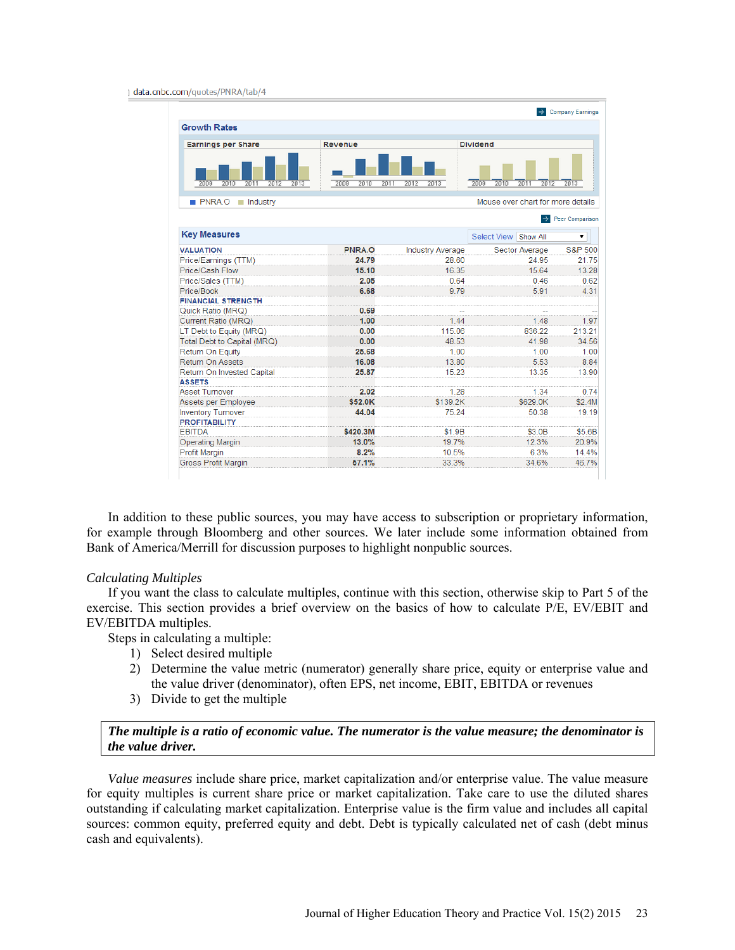|                                      |                      |                         |                                   | $\rightarrow$ Company Earnings |
|--------------------------------------|----------------------|-------------------------|-----------------------------------|--------------------------------|
| <b>Growth Rates</b>                  |                      |                         |                                   |                                |
| <b>Earnings per Share</b>            | <b>Revenue</b>       |                         | <b>Dividend</b>                   |                                |
| 2009<br>2012<br>2010<br>2011<br>2013 | 2009<br>2010<br>2011 | 2012<br>2013            | 2009<br>2010<br>2011<br>2012      | 2013                           |
| PNRA.O<br>$\blacksquare$ Industry    |                      |                         | Mouse over chart for more details |                                |
|                                      |                      |                         | ∣→∣                               | Peer Comparison                |
| <b>Key Measures</b>                  |                      |                         | Select View Show All              | ۷.                             |
| <b>VALUATION</b>                     | PNRA.O               | <b>Industry Average</b> | Sector Average                    | S&P 500                        |
| Price/Earnings (TTM)                 | 24.79                | 28.60                   | 24.95                             | 21.75                          |
| Price/Cash Flow                      | 15.10                | 16.35                   | 15.64                             | 13.28                          |
| Price/Sales (TTM)                    | 2.05                 | 0.64                    | 0.46                              | 0.62                           |
| Price/Book                           | 6.68                 | 9.79                    | 5.91                              | 4.31                           |
| <b>FINANCIAL STRENGTH</b>            |                      |                         |                                   |                                |
| Quick Ratio (MRQ)                    | 0.69                 | --                      |                                   |                                |
| Current Ratio (MRQ)                  | 1.00                 | 144                     | 148                               | 1.97                           |
| LT Debt to Equity (MRQ)              | 0.00                 | 115.06                  | 836.22                            | 213.21                         |
| Total Debt to Capital (MRQ)          | 0.00                 | 48.53                   | 41.98                             | 34.56                          |
| <b>Return On Equity</b>              | 25.68                | 1.00                    | 1.00                              | 1.00                           |
| <b>Return On Assets</b>              | 16.08                | 13.80                   | 5.53                              | 8.84                           |
| Return On Invested Capital           | 25.87                | 15.23                   | 13.35                             | 13.90                          |
| <b>ASSETS</b>                        |                      |                         |                                   |                                |
| <b>Asset Turnover</b>                | 2.02                 | 1.28                    | 1.34                              | 0.74                           |
| Assets per Employee                  | \$52.0K              | \$139.2K                | \$629.0K                          | \$2.4M                         |
| <b>Inventory Turnover</b>            | 44.04                | 75.24                   | 50.38                             | 19.19                          |
| <b>PROFITABILITY</b>                 |                      |                         |                                   |                                |
| <b>EBITDA</b>                        | \$420.3M             | \$1.9B                  | \$3.0B                            | \$5.6B                         |
| <b>Operating Margin</b>              | 13.0%                | 19.7%                   | 12.3%                             | 20.9%                          |
| <b>Profit Margin</b>                 | 8.2%                 | 10.5%                   | 6.3%                              | 14.4%                          |
| <b>Gross Profit Margin</b>           | 57.1%                | 33.3%                   | 34.6%                             | 46.7%                          |

In addition to these public sources, you may have access to subscription or proprietary information, for example through Bloomberg and other sources. We later include some information obtained from Bank of America/Merrill for discussion purposes to highlight nonpublic sources.

#### *Calculating Multiples*

If you want the class to calculate multiples, continue with this section, otherwise skip to Part 5 of the exercise. This section provides a brief overview on the basics of how to calculate P/E, EV/EBIT and EV/EBITDA multiples.

Steps in calculating a multiple:

- 1) Select desired multiple
- 2) Determine the value metric (numerator) generally share price, equity or enterprise value and the value driver (denominator), often EPS, net income, EBIT, EBITDA or revenues
- 3) Divide to get the multiple

*The multiple is a ratio of economic value. The numerator is the value measure; the denominator is the value driver.*

*Value measures* include share price, market capitalization and/or enterprise value. The value measure for equity multiples is current share price or market capitalization. Take care to use the diluted shares outstanding if calculating market capitalization. Enterprise value is the firm value and includes all capital sources: common equity, preferred equity and debt. Debt is typically calculated net of cash (debt minus cash and equivalents).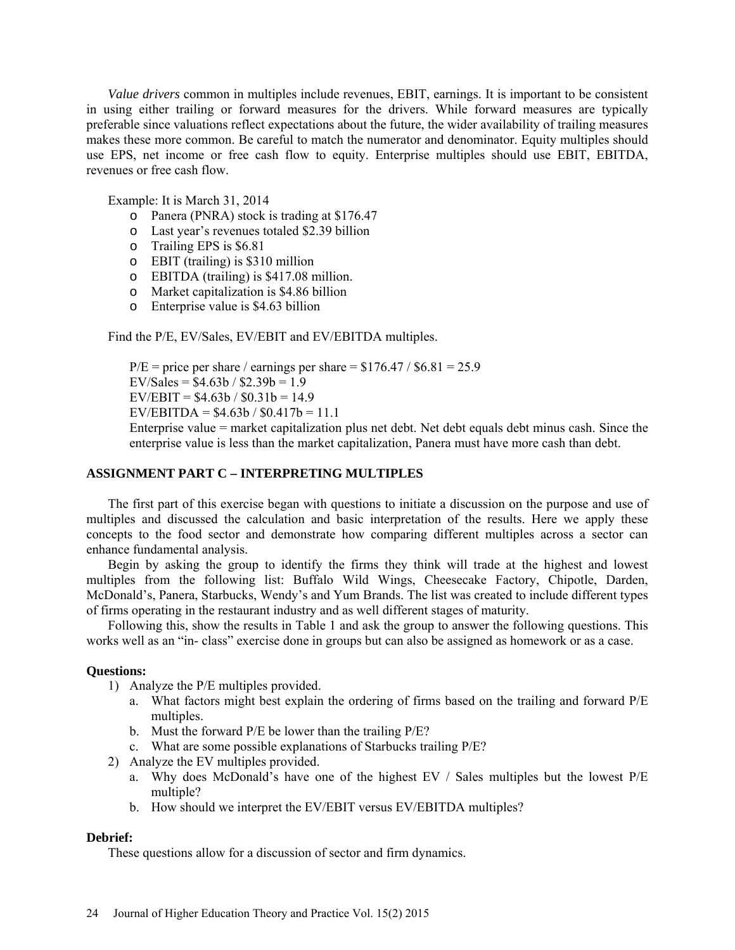*Value drivers* common in multiples include revenues, EBIT, earnings. It is important to be consistent in using either trailing or forward measures for the drivers. While forward measures are typically preferable since valuations reflect expectations about the future, the wider availability of trailing measures makes these more common. Be careful to match the numerator and denominator. Equity multiples should use EPS, net income or free cash flow to equity. Enterprise multiples should use EBIT, EBITDA, revenues or free cash flow.

Example: It is March 31, 2014

- o Panera (PNRA) stock is trading at \$176.47
- o Last year's revenues totaled \$2.39 billion
- o Trailing EPS is \$6.81
- o EBIT (trailing) is \$310 million
- o EBITDA (trailing) is \$417.08 million.
- o Market capitalization is \$4.86 billion
- o Enterprise value is \$4.63 billion

Find the P/E, EV/Sales, EV/EBIT and EV/EBITDA multiples.

 $P/E =$  price per share / earnings per share = \$176.47 / \$6.81 = 25.9 EV/Sales =  $$4.63b / $2.39b = 1.9$  $EV/EBIT = $4.63b / $0.31b = 14.9$ EV/EBITDA =  $$4.63b / $0.417b = 11.1$ 

Enterprise value = market capitalization plus net debt. Net debt equals debt minus cash. Since the enterprise value is less than the market capitalization, Panera must have more cash than debt.

### **ASSIGNMENT PART C – INTERPRETING MULTIPLES**

The first part of this exercise began with questions to initiate a discussion on the purpose and use of multiples and discussed the calculation and basic interpretation of the results. Here we apply these concepts to the food sector and demonstrate how comparing different multiples across a sector can enhance fundamental analysis.

Begin by asking the group to identify the firms they think will trade at the highest and lowest multiples from the following list: Buffalo Wild Wings, Cheesecake Factory, Chipotle, Darden, McDonald's, Panera, Starbucks, Wendy's and Yum Brands. The list was created to include different types of firms operating in the restaurant industry and as well different stages of maturity.

Following this, show the results in Table 1 and ask the group to answer the following questions. This works well as an "in- class" exercise done in groups but can also be assigned as homework or as a case.

### **Questions:**

- 1) Analyze the P/E multiples provided.
	- a. What factors might best explain the ordering of firms based on the trailing and forward P/E multiples.
	- b. Must the forward P/E be lower than the trailing P/E?
	- c. What are some possible explanations of Starbucks trailing P/E?
- 2) Analyze the EV multiples provided.
	- a. Why does McDonald's have one of the highest EV / Sales multiples but the lowest P/E multiple?
	- b. How should we interpret the EV/EBIT versus EV/EBITDA multiples?

# **Debrief:**

These questions allow for a discussion of sector and firm dynamics.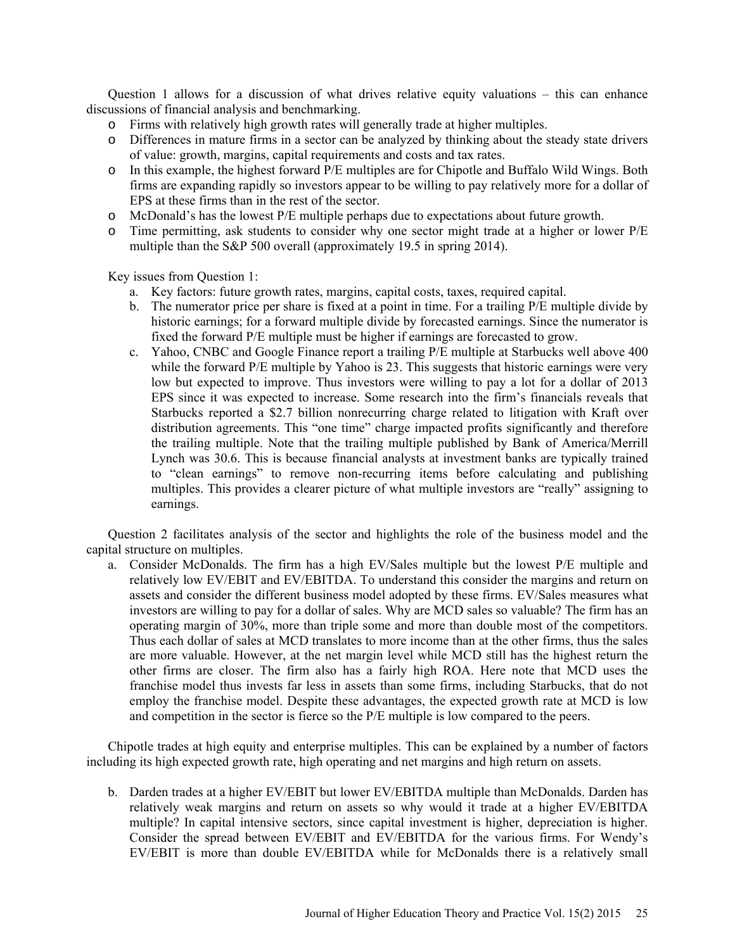Question 1 allows for a discussion of what drives relative equity valuations – this can enhance discussions of financial analysis and benchmarking.

- o Firms with relatively high growth rates will generally trade at higher multiples.
- o Differences in mature firms in a sector can be analyzed by thinking about the steady state drivers of value: growth, margins, capital requirements and costs and tax rates.
- o In this example, the highest forward P/E multiples are for Chipotle and Buffalo Wild Wings. Both firms are expanding rapidly so investors appear to be willing to pay relatively more for a dollar of EPS at these firms than in the rest of the sector.
- o McDonald's has the lowest P/E multiple perhaps due to expectations about future growth.
- o Time permitting, ask students to consider why one sector might trade at a higher or lower P/E multiple than the S&P 500 overall (approximately 19.5 in spring 2014).

Key issues from Question 1:

- a. Key factors: future growth rates, margins, capital costs, taxes, required capital.
- b. The numerator price per share is fixed at a point in time. For a trailing P/E multiple divide by historic earnings; for a forward multiple divide by forecasted earnings. Since the numerator is fixed the forward P/E multiple must be higher if earnings are forecasted to grow.
- c. Yahoo, CNBC and Google Finance report a trailing P/E multiple at Starbucks well above 400 while the forward P/E multiple by Yahoo is 23. This suggests that historic earnings were very low but expected to improve. Thus investors were willing to pay a lot for a dollar of 2013 EPS since it was expected to increase. Some research into the firm's financials reveals that Starbucks reported a \$2.7 billion nonrecurring charge related to litigation with Kraft over distribution agreements. This "one time" charge impacted profits significantly and therefore the trailing multiple. Note that the trailing multiple published by Bank of America/Merrill Lynch was 30.6. This is because financial analysts at investment banks are typically trained to "clean earnings" to remove non-recurring items before calculating and publishing multiples. This provides a clearer picture of what multiple investors are "really" assigning to earnings.

Question 2 facilitates analysis of the sector and highlights the role of the business model and the capital structure on multiples.

a. Consider McDonalds. The firm has a high EV/Sales multiple but the lowest P/E multiple and relatively low EV/EBIT and EV/EBITDA. To understand this consider the margins and return on assets and consider the different business model adopted by these firms. EV/Sales measures what investors are willing to pay for a dollar of sales. Why are MCD sales so valuable? The firm has an operating margin of 30%, more than triple some and more than double most of the competitors. Thus each dollar of sales at MCD translates to more income than at the other firms, thus the sales are more valuable. However, at the net margin level while MCD still has the highest return the other firms are closer. The firm also has a fairly high ROA. Here note that MCD uses the franchise model thus invests far less in assets than some firms, including Starbucks, that do not employ the franchise model. Despite these advantages, the expected growth rate at MCD is low and competition in the sector is fierce so the P/E multiple is low compared to the peers.

Chipotle trades at high equity and enterprise multiples. This can be explained by a number of factors including its high expected growth rate, high operating and net margins and high return on assets.

b. Darden trades at a higher EV/EBIT but lower EV/EBITDA multiple than McDonalds. Darden has relatively weak margins and return on assets so why would it trade at a higher EV/EBITDA multiple? In capital intensive sectors, since capital investment is higher, depreciation is higher. Consider the spread between EV/EBIT and EV/EBITDA for the various firms. For Wendy's EV/EBIT is more than double EV/EBITDA while for McDonalds there is a relatively small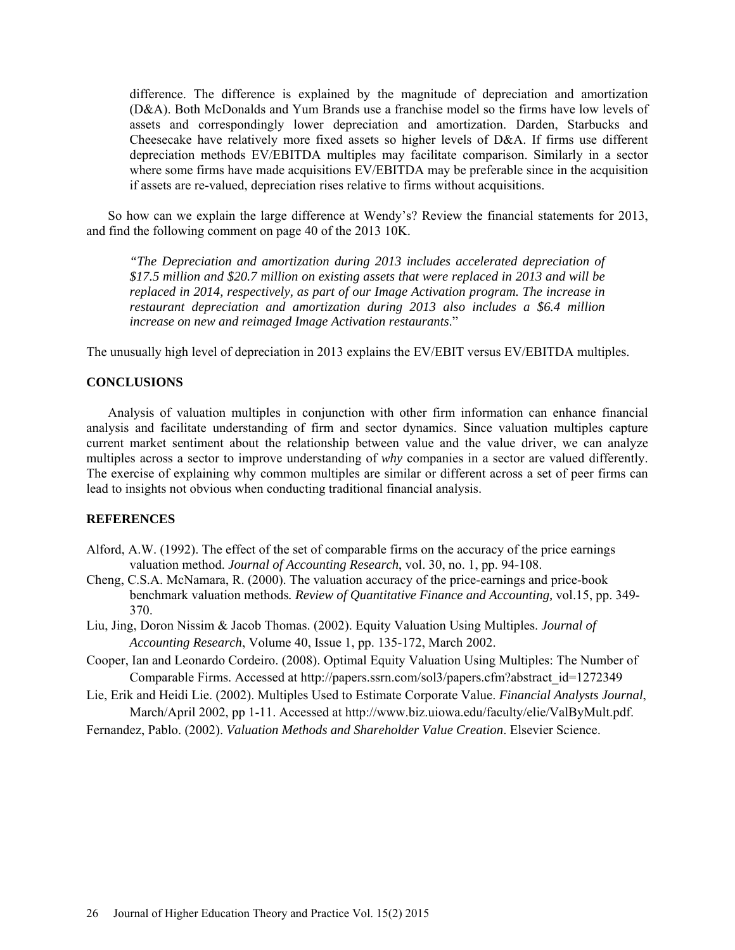difference. The difference is explained by the magnitude of depreciation and amortization (D&A). Both McDonalds and Yum Brands use a franchise model so the firms have low levels of assets and correspondingly lower depreciation and amortization. Darden, Starbucks and Cheesecake have relatively more fixed assets so higher levels of D&A. If firms use different depreciation methods EV/EBITDA multiples may facilitate comparison. Similarly in a sector where some firms have made acquisitions EV/EBITDA may be preferable since in the acquisition if assets are re-valued, depreciation rises relative to firms without acquisitions.

So how can we explain the large difference at Wendy's? Review the financial statements for 2013, and find the following comment on page 40 of the 2013 10K.

*"The Depreciation and amortization during 2013 includes accelerated depreciation of \$17.5 million and \$20.7 million on existing assets that were replaced in 2013 and will be replaced in 2014, respectively, as part of our Image Activation program. The increase in restaurant depreciation and amortization during 2013 also includes a \$6.4 million increase on new and reimaged Image Activation restaurants*."

The unusually high level of depreciation in 2013 explains the EV/EBIT versus EV/EBITDA multiples.

### **CONCLUSIONS**

Analysis of valuation multiples in conjunction with other firm information can enhance financial analysis and facilitate understanding of firm and sector dynamics. Since valuation multiples capture current market sentiment about the relationship between value and the value driver, we can analyze multiples across a sector to improve understanding of *why* companies in a sector are valued differently. The exercise of explaining why common multiples are similar or different across a set of peer firms can lead to insights not obvious when conducting traditional financial analysis.

#### **REFERENCES**

- Alford, A.W. (1992). The effect of the set of comparable firms on the accuracy of the price earnings valuation method. *Journal of Accounting Research*, vol. 30, no. 1, pp. 94-108.
- Cheng, C.S.A. McNamara, R. (2000). The valuation accuracy of the price-earnings and price-book benchmark valuation methods*. Review of Quantitative Finance and Accounting,* vol.15, pp. 349- 370.
- Liu, Jing, Doron Nissim & Jacob Thomas. (2002). Equity Valuation Using Multiples. *Journal of Accounting Research*, Volume 40, Issue 1, pp. 135-172, March 2002.
- Cooper, Ian and Leonardo Cordeiro. (2008). Optimal Equity Valuation Using Multiples: The Number of Comparable Firms. Accessed at http://papers.ssrn.com/sol3/papers.cfm?abstract\_id=1272349
- Lie, Erik and Heidi Lie. (2002). Multiples Used to Estimate Corporate Value. *Financial Analysts Journal*, March/April 2002, pp 1-11. Accessed at http://www.biz.uiowa.edu/faculty/elie/ValByMult.pdf.
- Fernandez, Pablo. (2002). *Valuation Methods and Shareholder Value Creation*. Elsevier Science.